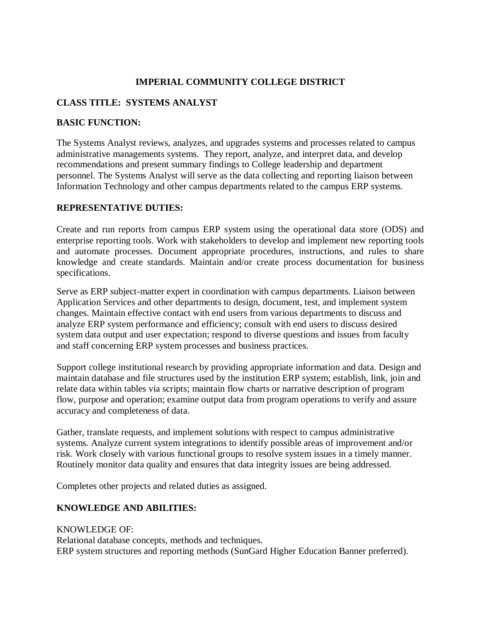### **IMPERIAL COMMUNITY COLLEGE DISTRICT**

### **CLASS TITLE: SYSTEMS ANALYST**

#### **BASIC FUNCTION:**

The Systems Analyst reviews, analyzes, and upgrades systems and processes related to campus administrative managements systems. They report, analyze, and interpret data, and develop recommendations and present summary findings to College leadership and department personnel. The Systems Analyst will serve as the data collecting and reporting liaison between Information Technology and other campus departments related to the campus ERP systems.

#### **REPRESENTATIVE DUTIES:**

Create and run reports from campus ERP system using the operational data store (ODS) and enterprise reporting tools. Work with stakeholders to develop and implement new reporting tools and automate processes. Document appropriate procedures, instructions, and rules to share knowledge and create standards. Maintain and/or create process documentation for business specifications.

Serve as ERP subject-matter expert in coordination with campus departments. Liaison between Application Services and other departments to design, document, test, and implement system changes. Maintain effective contact with end users from various departments to discuss and analyze ERP system performance and efficiency; consult with end users to discuss desired system data output and user expectation; respond to diverse questions and issues from faculty and staff concerning ERP system processes and business practices.

Support college institutional research by providing appropriate information and data. Design and maintain database and file structures used by the institution ERP system; establish, link, join and relate data within tables via scripts; maintain flow charts or narrative description of program flow, purpose and operation; examine output data from program operations to verify and assure accuracy and completeness of data.

Gather, translate requests, and implement solutions with respect to campus administrative systems. Analyze current system integrations to identify possible areas of improvement and/or risk. Work closely with various functional groups to resolve system issues in a timely manner. Routinely monitor data quality and ensures that data integrity issues are being addressed.

Completes other projects and related duties as assigned.

### **KNOWLEDGE AND ABILITIES:**

KNOWLEDGE OF:

Relational database concepts, methods and techniques. ERP system structures and reporting methods (SunGard Higher Education Banner preferred).